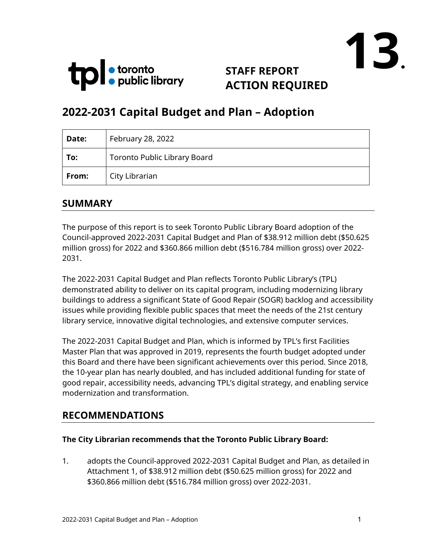



# **STAFF REPORT ACTION REQUIRED**

# **2022-2031 Capital Budget and Plan – Adoption**

| Date: | February 28, 2022                   |
|-------|-------------------------------------|
| To:   | <b>Toronto Public Library Board</b> |
| From: | City Librarian                      |

#### **SUMMARY**

The purpose of this report is to seek Toronto Public Library Board adoption of the Council-approved 2022-2031 Capital Budget and Plan of \$38.912 million debt (\$50.625 million gross) for 2022 and \$360.866 million debt (\$516.784 million gross) over 2022- 2031.

The 2022-2031 Capital Budget and Plan reflects Toronto Public Library's (TPL) demonstrated ability to deliver on its capital program, including modernizing library buildings to address a significant State of Good Repair (SOGR) backlog and accessibility issues while providing flexible public spaces that meet the needs of the 21st century library service, innovative digital technologies, and extensive computer services.

The 2022-2031 Capital Budget and Plan, which is informed by TPL's first Facilities Master Plan that was approved in 2019, represents the fourth budget adopted under this Board and there have been significant achievements over this period. Since 2018, the 10-year plan has nearly doubled, and has included additional funding for state of good repair, accessibility needs, advancing TPL's digital strategy, and enabling service modernization and transformation.

#### **RECOMMENDATIONS**

#### **The City Librarian recommends that the Toronto Public Library Board:**

1. adopts the Council-approved 2022-2031 Capital Budget and Plan, as detailed in Attachment 1, of \$38.912 million debt (\$50.625 million gross) for 2022 and \$360.866 million debt (\$516.784 million gross) over 2022-2031.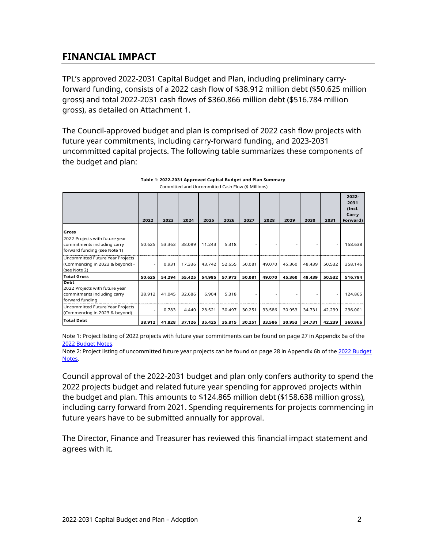#### **FINANCIAL IMPACT**

TPL's approved 2022-2031 Capital Budget and Plan, including preliminary carryforward funding, consists of a 2022 cash flow of \$38.912 million debt (\$50.625 million gross) and total 2022-2031 cash flows of \$360.866 million debt (\$516.784 million gross), as detailed on Attachment 1.

The Council-approved budget and plan is comprised of 2022 cash flow projects with future year commitments, including carry-forward funding, and 2023-2031 uncommitted capital projects. The following table summarizes these components of the budget and plan:

|                                                                                                        | 2022   | 2023   | 2024   | 2025   | 2026   | 2027   | 2028   | 2029   | 2030   | 2031   | $2022 -$<br>2031<br>(Incl.<br>Carry<br>Forward) |
|--------------------------------------------------------------------------------------------------------|--------|--------|--------|--------|--------|--------|--------|--------|--------|--------|-------------------------------------------------|
| Gross<br>2022 Projects with future year<br>commitments including carry<br>forward funding (see Note 1) | 50.625 | 53.363 | 38.089 | 11.243 | 5.318  |        |        |        |        |        | 158.638                                         |
| Uncommitted Future Year Projects<br>(Commencing in 2023 & beyond) -<br>(see Note 2)                    |        | 0.931  | 17.336 | 43.742 | 52.655 | 50.081 | 49.070 | 45.360 | 48.439 | 50.532 | 358.146                                         |
| <b>Total Gross</b>                                                                                     | 50.625 | 54.294 | 55.425 | 54.985 | 57.973 | 50.081 | 49.070 | 45.360 | 48.439 | 50.532 | 516.784                                         |
| <b>Debt</b><br>2022 Projects with future year<br>commitments including carry<br>forward funding        | 38.912 | 41.045 | 32.686 | 6.904  | 5.318  |        |        |        |        |        | 124.865                                         |
| Uncommitted Future Year Projects<br>(Commencing in 2023 & beyond)                                      |        | 0.783  | 4.440  | 28.521 | 30.497 | 30.251 | 33.586 | 30.953 | 34.731 | 42.239 | 236.001                                         |
| <b>Total Debt</b>                                                                                      | 38.912 | 41.828 | 37.126 | 35.425 | 35.815 | 30.251 | 33.586 | 30.953 | 34.731 | 42.239 | 360.866                                         |

| Table 1: 2022-2031 Approved Capital Budget and Plan Summary |
|-------------------------------------------------------------|
| Committed and Uncommitted Cash Flow (\$ Millions)           |

Note 1: Project listing of 2022 projects with future year commitments can be found on page 27 in Appendix 6a of the [2022 Budget Notes.](https://www.toronto.ca/legdocs/mmis/2022/ex/bgrd/backgroundfile-199425.pdf)

Note 2: Project listing of uncommitted future year projects can be found on page 28 in Appendix 6b of the [2022 Budget](https://www.toronto.ca/legdocs/mmis/2022/ex/bgrd/backgroundfile-199425.pdf)  [Notes.](https://www.toronto.ca/legdocs/mmis/2022/ex/bgrd/backgroundfile-199425.pdf)

Council approval of the 2022-2031 budget and plan only confers authority to spend the 2022 projects budget and related future year spending for approved projects within the budget and plan. This amounts to \$124.865 million debt (\$158.638 million gross), including carry forward from 2021. Spending requirements for projects commencing in future years have to be submitted annually for approval.

The Director, Finance and Treasurer has reviewed this financial impact statement and agrees with it.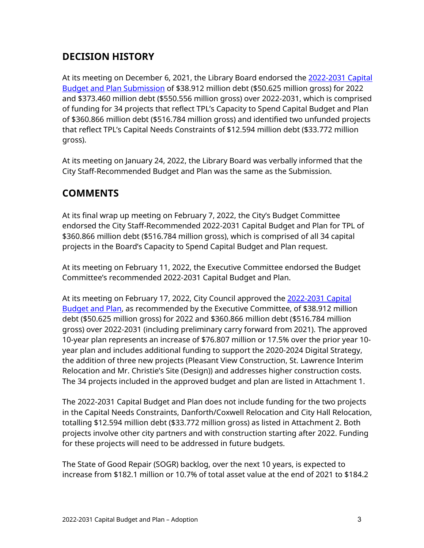### **DECISION HISTORY**

At its meeting on December 6, 2021, the Library Board endorsed the [2022-2031 Capital](https://www.torontopubliclibrary.ca/content/about-the-library/pdfs/board/meetings/2021/dec06/15-2022-2031-capital-budget-and-plan-submission-revised-combined.pdf)  [Budget and Plan Submission](https://www.torontopubliclibrary.ca/content/about-the-library/pdfs/board/meetings/2021/dec06/15-2022-2031-capital-budget-and-plan-submission-revised-combined.pdf) of \$38.912 million debt (\$50.625 million gross) for 2022 and \$373.460 million debt (\$550.556 million gross) over 2022-2031, which is comprised of funding for 34 projects that reflect TPL's Capacity to Spend Capital Budget and Plan of \$360.866 million debt (\$516.784 million gross) and identified two unfunded projects that reflect TPL's Capital Needs Constraints of \$12.594 million debt (\$33.772 million gross).

At its meeting on January 24, 2022, the Library Board was verbally informed that the City Staff-Recommended Budget and Plan was the same as the Submission.

### **COMMENTS**

At its final wrap up meeting on February 7, 2022, the City's Budget Committee endorsed the City Staff-Recommended 2022-2031 Capital Budget and Plan for TPL of \$360.866 million debt (\$516.784 million gross), which is comprised of all 34 capital projects in the Board's Capacity to Spend Capital Budget and Plan request.

At its meeting on February 11, 2022, the Executive Committee endorsed the Budget Committee's recommended 2022-2031 Capital Budget and Plan.

At its meeting on February 17, 2022, City Council approved the [2022-2031](http://app.toronto.ca/tmmis/viewAgendaItemHistory.do?item=2022.EX30.2) Capital [Budget and Plan,](http://app.toronto.ca/tmmis/viewAgendaItemHistory.do?item=2022.EX30.2) as recommended by the Executive Committee, of \$38.912 million debt (\$50.625 million gross) for 2022 and \$360.866 million debt (\$516.784 million gross) over 2022-2031 (including preliminary carry forward from 2021). The approved 10-year plan represents an increase of \$76.807 million or 17.5% over the prior year 10 year plan and includes additional funding to support the 2020-2024 Digital Strategy, the addition of three new projects (Pleasant View Construction, St. Lawrence Interim Relocation and Mr. Christie's Site (Design)) and addresses higher construction costs. The 34 projects included in the approved budget and plan are listed in Attachment 1.

The 2022-2031 Capital Budget and Plan does not include funding for the two projects in the Capital Needs Constraints, Danforth/Coxwell Relocation and City Hall Relocation, totalling \$12.594 million debt (\$33.772 million gross) as listed in Attachment 2. Both projects involve other city partners and with construction starting after 2022. Funding for these projects will need to be addressed in future budgets.

The State of Good Repair (SOGR) backlog, over the next 10 years, is expected to increase from \$182.1 million or 10.7% of total asset value at the end of 2021 to \$184.2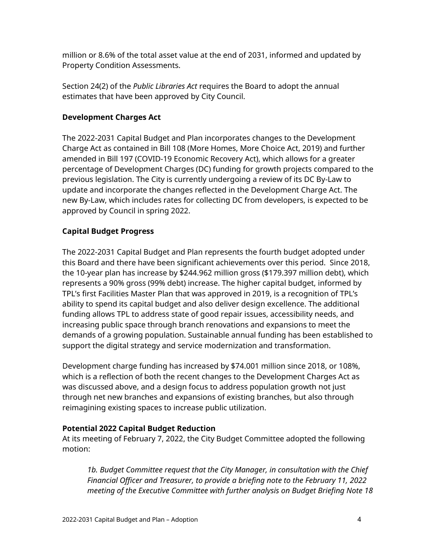million or 8.6% of the total asset value at the end of 2031, informed and updated by Property Condition Assessments.

Section 24(2) of the *Public Libraries Act* requires the Board to adopt the annual estimates that have been approved by City Council.

#### **Development Charges Act**

The 2022-2031 Capital Budget and Plan incorporates changes to the Development Charge Act as contained in Bill 108 (More Homes, More Choice Act, 2019) and further amended in Bill 197 (COVID-19 Economic Recovery Act), which allows for a greater percentage of Development Charges (DC) funding for growth projects compared to the previous legislation. The City is currently undergoing a review of its DC By-Law to update and incorporate the changes reflected in the Development Charge Act. The new By-Law, which includes rates for collecting DC from developers, is expected to be approved by Council in spring 2022.

#### **Capital Budget Progress**

The 2022-2031 Capital Budget and Plan represents the fourth budget adopted under this Board and there have been significant achievements over this period. Since 2018, the 10-year plan has increase by \$244.962 million gross (\$179.397 million debt), which represents a 90% gross (99% debt) increase. The higher capital budget, informed by TPL's first Facilities Master Plan that was approved in 2019, is a recognition of TPL's ability to spend its capital budget and also deliver design excellence. The additional funding allows TPL to address state of good repair issues, accessibility needs, and increasing public space through branch renovations and expansions to meet the demands of a growing population. Sustainable annual funding has been established to support the digital strategy and service modernization and transformation.

Development charge funding has increased by \$74.001 million since 2018, or 108%, which is a reflection of both the recent changes to the Development Charges Act as was discussed above, and a design focus to address population growth not just through net new branches and expansions of existing branches, but also through reimagining existing spaces to increase public utilization.

#### **Potential 2022 Capital Budget Reduction**

At its meeting of February 7, 2022, the City Budget Committee adopted the following motion:

*1b. Budget Committee request that the City Manager, in consultation with the Chief Financial Officer and Treasurer, to provide a briefing note to the February 11, 2022 meeting of the Executive Committee with further analysis on Budget Briefing Note 18*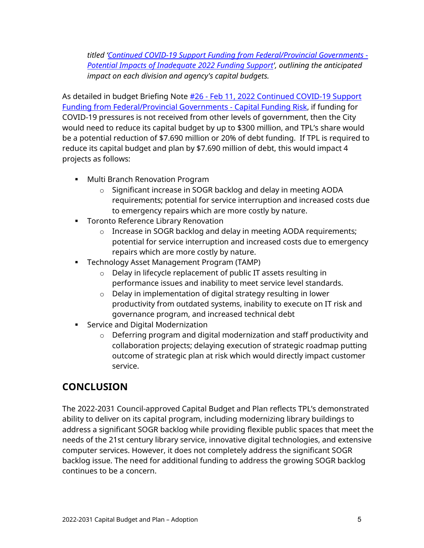*titled ['Continued COVID-19 Support Funding from Federal/Provincial Governments -](https://www.toronto.ca/legdocs/mmis/2022/bu/bgrd/backgroundfile-176491.pdf) [Potential Impacts of Inadequate 2022 Funding Support', outlining t](https://www.toronto.ca/legdocs/mmis/2022/bu/bgrd/backgroundfile-176491.pdf)he anticipated impact on each division and agency's capital budgets.* 

As detailed in budget Briefing Note #26 - [Feb 11, 2022 Continued COVID-19 Support](https://www.toronto.ca/legdocs/mmis/2022/ex/bgrd/backgroundfile-221883.pdf)  [Funding from Federal/Provincial Governments -](https://www.toronto.ca/legdocs/mmis/2022/ex/bgrd/backgroundfile-221883.pdf) Capital Funding Risk, if funding for COVID-19 pressures is not received from other levels of government, then the City would need to reduce its capital budget by up to \$300 million, and TPL's share would be a potential reduction of \$7.690 million or 20% of debt funding. If TPL is required to reduce its capital budget and plan by \$7.690 million of debt, this would impact 4 projects as follows:

- **Multi Branch Renovation Program** 
	- o Significant increase in SOGR backlog and delay in meeting AODA requirements; potential for service interruption and increased costs due to emergency repairs which are more costly by nature.
- **Toronto Reference Library Renovation** 
	- o Increase in SOGR backlog and delay in meeting AODA requirements; potential for service interruption and increased costs due to emergency repairs which are more costly by nature.
- **Technology Asset Management Program (TAMP)** 
	- o Delay in lifecycle replacement of public IT assets resulting in performance issues and inability to meet service level standards.
	- o Delay in implementation of digital strategy resulting in lower productivity from outdated systems, inability to execute on IT risk and governance program, and increased technical debt
- **Service and Digital Modernization** 
	- o Deferring program and digital modernization and staff productivity and collaboration projects; delaying execution of strategic roadmap putting outcome of strategic plan at risk which would directly impact customer service.

### **CONCLUSION**

The 2022-2031 Council-approved Capital Budget and Plan reflects TPL's demonstrated ability to deliver on its capital program, including modernizing library buildings to address a significant SOGR backlog while providing flexible public spaces that meet the needs of the 21st century library service, innovative digital technologies, and extensive computer services. However, it does not completely address the significant SOGR backlog issue. The need for additional funding to address the growing SOGR backlog continues to be a concern.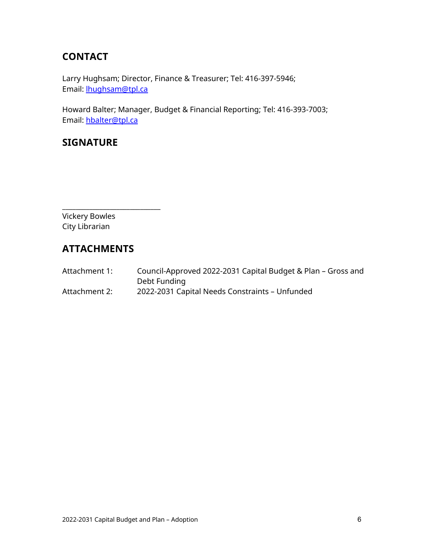### **CONTACT**

Larry Hughsam; Director, Finance & Treasurer; Tel: 416-397-5946; Email: [lhughsam@tpl.ca](mailto:lhughsam@tpl.ca)

Howard Balter; Manager, Budget & Financial Reporting; Tel: 416-393-7003; Email: [hbalter@tpl.ca](mailto:hbalter@tpl.ca)

#### **SIGNATURE**

\_\_\_\_\_\_\_\_\_\_\_\_\_\_\_\_\_\_\_\_\_\_\_\_\_\_\_\_\_ Vickery Bowles City Librarian

### **ATTACHMENTS**

| Attachment 1: | Council-Approved 2022-2031 Capital Budget & Plan - Gross and |
|---------------|--------------------------------------------------------------|
|               | Debt Funding                                                 |
| Attachment 2: | 2022-2031 Capital Needs Constraints - Unfunded               |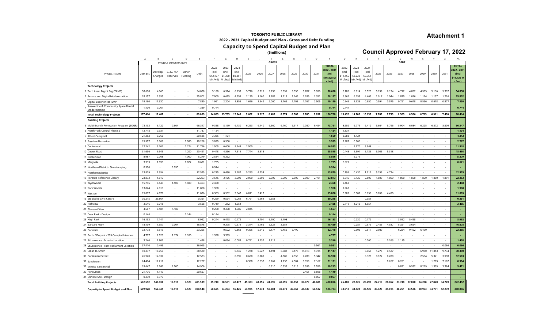#### **Attachment 1**

#### **TORONTO PUBLIC LIBRARY 2022 - 2031 Capital Budget and Plan - Gross and Debt Funding Capacity to Spend Capital Budget and Plan**

**(\$millions)**

**Council Approved February 17, 2022**

|                                                                   | A                | B                   |                       | D                | Ε                        | F.                                   | G                                  | н                                           |        |        | K            |                 | M      | N      | $\circ$ | $\mathsf{P}$                       | Q                                    | R                                           | s                        | T      | U      | $\vee$           | W      | $\times$ | Y                        | z                                 | AA                                 |
|-------------------------------------------------------------------|------------------|---------------------|-----------------------|------------------|--------------------------|--------------------------------------|------------------------------------|---------------------------------------------|--------|--------|--------------|-----------------|--------|--------|---------|------------------------------------|--------------------------------------|---------------------------------------------|--------------------------|--------|--------|------------------|--------|----------|--------------------------|-----------------------------------|------------------------------------|
|                                                                   |                  |                     | PROJECT INFORMATION   |                  |                          |                                      |                                    |                                             |        |        | <b>GROSS</b> |                 |        |        |         | <b>TOTAL</b>                       |                                      |                                             |                          |        |        | <b>DEBT</b>      |        |          |                          |                                   | <b>TOTAL</b>                       |
| PROJECT NAME                                                      | Cost Est.        | Develop.<br>Charges | S. 37/45/<br>Reserves | Other<br>Funding | Debt                     | 2022<br>(incl<br>\$12.177<br>M cfwd) | 2023<br>(incl<br>\$4.300           | 2024<br>(incl<br>\$0.351<br>M cfwd) M cfwd) | 2025   | 2026   | 2027         | 2028            | 2029   | 2030   | 2031    | 2022 - 2031<br>(incl<br>\$16.828 M | 2022<br>(incl<br>\$11,155<br>M cfwd) | 2023<br>(incl<br>\$3.233<br>M cfwd) M cfwd) | 2024<br>(incl<br>\$0.351 | 2025   | 2026   | 2027             | 2028   | 2029     | 2030                     | 2031                              | 1022 - 2031<br>(incl<br>\$14.739 M |
| <b>Technology Projects</b>                                        |                  |                     |                       |                  |                          |                                      |                                    |                                             |        |        |              |                 |        |        |         | <u>cfwd)</u>                       |                                      |                                             |                          |        |        |                  |        |          |                          |                                   | cfwd)                              |
| Tech Asset Mgmt Prg (TAMP                                         | 58.698           | 4.660               |                       |                  | 54.038                   | 5.180                                | 6.914                              | 6.133                                       | 5.776  | 6.815  | 5.236        | 5.391           | 5.550  | 5.707  | 5.996   | 58.698                             | 5.180                                | 6.914                                       | 5.520                    | 5.198  | 6.134  | 4.712            | 4.852  | 4.995    | 5.136                    | 5.397                             | 54.038                             |
| Service and Digital Modernization                                 | 28.157           | 2.355               | $\sim$                |                  | 25,802                   | 7.000                                | 6.615                              | 4.959                                       | 2.130  | 1.160  | 1.189        | 1.218           | 1.249  | 1.286  | 1.351   | 28.157                             | 6.562                                | 6.153                                       | 4.463                    | 1.917  | 1.044  | 1.070            | 1.096  | 1.124    | 1.157                    | 1.216                             | 25.802                             |
| Digital Experiences (DXP)                                         | 19.160           | 11.330              |                       |                  | 7.830                    | 1.961                                | 2.204                              | 1.856                                       | 1.696  | 1.642  | 2.060        | 1.765           | 1.703  | 1.767  | 2.505   | 19.159                             | 0.946                                | 1.635                                       | 0.650                    | 0.594  | 0.575  | 0.721            | 0.618  | 0.596    | 0.618                    | 0.877                             | 7.830                              |
| Answerline & Community Space Rental                               | 1.400            | 0.061               |                       |                  | 1.339                    | 0.744                                |                                    |                                             |        |        |              |                 |        |        |         | 0.744                              | 0.744                                |                                             |                          |        |        |                  |        |          |                          |                                   | 0.744                              |
| Modernization                                                     |                  |                     |                       |                  |                          |                                      |                                    |                                             |        |        |              |                 |        |        |         |                                    |                                      |                                             |                          |        |        |                  |        |          |                          |                                   |                                    |
| <b>Total Technology Projects</b>                                  | 107.416          | 18.407              | $\sim$                | $\sim$           | 89.009                   | 14.885                               | 15.733                             | 12.948                                      | 9.602  | 9.617  | 8.485        | 8.374           | 8.502  | 8.760  | 9.852   | 106.758                            | 13.432                               | 14.702                                      | 10.633                   | 7.709  | 7.753  | 6.503            | 6.566  | 6.715    | 6.911                    | 7.490                             | 88.414                             |
| <b>Building Projects</b>                                          |                  |                     |                       |                  |                          |                                      |                                    |                                             |        |        |              |                 |        |        |         |                                    |                                      |                                             |                          |        |        |                  |        |          |                          |                                   |                                    |
| Multi-Branch Renovation Program (SOGR)                            | 73.133           | 6.122               | 0.664                 |                  | 66.347                   | 9.318                                | 8.199                              | 6.730                                       | 6.293  | 6.440  | 6.560        | 6.760           | 6.917  | 7.080  | 9.454   | 73.751                             | 8.602                                | 6.779                                       | 6.412                    | 5.664  | 5.796  | 5.904            | 6.084  | 6.225    | 6.372                    | 8.509                             | 66.347                             |
| North York Central Phase 2                                        | 12.718           | 0.931               | $\sim$                |                  | 11.787                   | 1.134                                |                                    |                                             |        |        |              |                 |        |        |         | 1.134                              | 1.134                                | $\sim$                                      |                          |        |        |                  |        |          |                          |                                   | 1.134                              |
| Albert Campbell                                                   | 21.352           | 0.766               | $\sim$                |                  | 20.586                   | 3.385                                | 1.124                              |                                             |        |        |              |                 |        |        |         | 4.509                              | 3.088                                | 1.124                                       |                          |        |        |                  |        |          |                          | $\sim$                            | 4.212                              |
| 8 Bayview-Bessarion                                               | 15.957           | 5.109               | $\sim$                | 0.580            | 10.268                   | 3.035                                | 0.500                              | $\sim$                                      |        |        |              |                 |        |        |         | 3.535                              | 2.287                                | 0.500                                       |                          |        |        |                  |        |          |                          |                                   | 2.787                              |
| 9 Centennial                                                      | 17.242           | 5.202               | $\sim$                | 0.274            | 11.766                   | 1.505                                | 6.600                              | 5.948                                       | 2.500  |        |              |                 |        |        |         | 16.553                             |                                      | 5.570                                       | 5.948                    |        |        |                  |        |          |                          |                                   | 11.518                             |
| Dawes Road                                                        | 31.636           | 9.945               | $\sim$                | 1.200            | 20.491                   | 0.448                                | 4.866                              | 7.519                                       | 7.744  | 5.318  |              |                 |        |        |         | 25.895                             | 0.448                                | 1.591                                       | 5.136                    | 6.005  | 5.318  |                  |        |          |                          |                                   | 18.498                             |
| Bridlewood                                                        | 8.987            | 2.708               | $\sim$                | 1.000            | 5.279                    | 2.534                                | 6.362                              | $\sim$                                      |        |        |              |                 |        |        |         | 8.896                              | $\sim$                               | 5.279                                       | $\sim$                   |        |        |                  |        |          | $\overline{\phantom{a}}$ |                                   | 5.279                              |
| Maryvale                                                          | 3.333            | 1.890               | $\sim$                | 0.822            | 0.621                    | 1.735                                | $\sim$                             | $\sim$                                      | $\sim$ | $\sim$ |              | $\sim$          |        | $\sim$ | ×.      | 1.735                              | 0.621                                | $\sim$                                      | $\sim$                   |        | $\sim$ | $\sim$           |        |          | $\sim$                   | $\sim$                            | 0.621                              |
| Northern District - Streetscaping                                 | 0.990            | $\sim$              | 0.990                 | $\sim$           | $\sim$                   | 0.914                                |                                    |                                             |        |        |              |                 |        |        |         | 0.914                              |                                      |                                             |                          |        |        |                  |        |          |                          | $\sim$                            | $\sim$                             |
| 4 Northern District                                               | 13.879           | 1.354               | $\sim$                | $\sim$           | 12.525                   | 0.275                                | 0.430                              | 3.187                                       | 5.253  | 4.734  | $\sim$       | $\sim$          |        |        |         | 13.879                             | 0.196                                | 0.430                                       | 1.912                    | 5.253  | 4.734  | $\sim$           |        |          | $\sim$                   |                                   | 12.525                             |
| 5 Toronto Reference Library                                       | 23.873           | 1.610               | $\sim$                | $\sim$           | 22.263                   | 3.646                                | 3.126                              | 3.000                                       | 2.000  | 2.000  | 2.000        | 2.000           | 2.000  | 2.000  | 2.101   | 23.873                             | 3.646                                | 3.126                                       | 2.800                    | 1.800  | 1.800  | 1.800            | 1.800  | 1.800    | 1.800                    | 1.891                             | 22.263                             |
| 6 Wychwood                                                        | 15.796           | 6.443               | 1.500                 | 1.400            | 6.453                    | 2.468                                |                                    |                                             |        |        |              |                 |        |        |         | 2.468                              | 2.468                                | $\sim$                                      |                          |        |        |                  |        |          |                          |                                   | 2.468                              |
| <b>York Woods</b>                                                 | 13.824           | 2.016               |                       | $\sim$           | 11.808                   | 1.968                                |                                    |                                             |        |        |              |                 |        |        |         | 1.968                              | 1.968                                | $\overline{\phantom{a}}$                    |                          |        |        |                  |        |          |                          |                                   | 1.968                              |
| Weston                                                            | 15.897           | 4.871               | $\sim$                |                  | 11.026                   | 0.303                                | 0.502                              | 3.647                                       | 6.011  | 5.417  |              |                 |        |        |         | 15.880                             | 0.303                                | 0.502                                       | 0.656                    | 5.058  | 4.490  |                  |        |          |                          |                                   | 11.009                             |
| <b>Etobicoke Civic Centre</b>                                     | 30.215           | 29.864              | $\sim$                |                  | 0.351                    | 0.299                                | 0.564                              | 6.069                                       | 6.761  | 6.964  | 9.558        |                 |        |        |         | 30.215                             |                                      | $\sim$                                      | 0.351                    |        |        |                  |        |          |                          | ×.                                | 0.351                              |
| 20 Richview                                                       | 3.546            | 0.018               | $\sim$                |                  | 3.528                    | 0.719                                | 1.212                              | 1.554                                       | $\sim$ |        |              |                 |        |        |         | 3.485                              | 0.719                                | 1.212                                       | 1.554                    |        |        |                  |        |          |                          |                                   | 3.485                              |
| 21<br><b>Pleasant View</b>                                        | 4.667            | 0.481               | 4.186                 |                  |                          | 0.268                                | 0.368                              | 1.986                                       | 2.045  |        |              |                 |        |        |         | 4.667                              |                                      | ×                                           |                          |        |        | $\sim$           |        |          |                          | $\overline{\phantom{a}}$          | ×.                                 |
| 22 Deer Park - Design                                             | 0.144            |                     |                       | 0.144            | ٠                        | 0.144                                |                                    |                                             |        |        |              |                 |        |        |         | 0.144                              |                                      |                                             |                          |        |        |                  |        |          |                          |                                   | $\overline{\phantom{a}}$           |
| 23 High Park                                                      | 16.133           | 7.141               |                       |                  | 8.992                    | 0.244                                | 0.418                              | 0.172                                       | $\sim$ | 3.701  | 6.100        | 5.498           |        |        |         | 16.133                             |                                      | 0.230                                       | 0.172                    |        |        | 3.092            | 5.498  |          |                          |                                   | 8.992                              |
| Barbara Frum                                                      | 18.439           | 1.557               | 0.004                 | $\sim$           | 16.878                   |                                      | 0.375                              | 0.579                                       | 3.344  | 5.166  | 5.321        | 3.654           |        |        |         | 18.439                             |                                      | 0.281                                       | 0.579                    | 2.456  | 4.587  | 5.321            | 3.654  |          |                          | $\overline{\phantom{a}}$          | 16.878                             |
| Parkdale                                                          | 32.778           | 9.513               | $\sim$                | $\sim$           | 23.265                   | $\sim$                               | 0.502                              | 0.862                                       | 0.355  | 5.940  | 9.177        | 9.452           | 6.490  |        |         | 32.778                             | $\sim$                               | 0.502                                       | 0.517                    | 0.080  |        | 6.224            | 9.452  | 6.490    |                          |                                   | 23.265                             |
| 26 Perth / Dupont - 299 Campbell Avenue                           | 4.797            | 2.523               | 1.174                 | 1.100            | $\sim$                   | 1.398                                | 3.359                              | $\sim$                                      |        |        |              |                 |        |        |         | 4.757                              |                                      |                                             |                          |        |        |                  |        |          |                          |                                   | ٠                                  |
| 27 St.Lawrence - Interim Location                                 | 3.240            | 1.802<br>0.495      | $\sim$                | $\sim$           | 1.438<br>36.915          |                                      | 0.054                              | 0.083                                       | 0.751  | 1.237  | 1.115        | $\sim$          |        |        | 0.561   | 3.240<br>0.561                     |                                      | $\sim$                                      | 0.060                    |        | 0.263  | 1.115            |        |          |                          | $\overline{\phantom{a}}$<br>0.066 | 1.438<br>0.066                     |
| 28 St.Lawrence - First Parliament Location<br>29 Lillian H. Smith | 37.410           |                     | $\sim$                | $\sim$           | 38.580                   |                                      |                                    | 0.745                                       | 1.278  | 0.527  | 1.194        | $\sim$<br>6.681 | 9.175  | 11.813 | 9.734   | 41.147                             |                                      |                                             | 0.068                    | 1.278  | 0.527  | $\sim$           |        | 6.970    | 11.813                   | 9.734                             | 30.390                             |
|                                                                   | 49.337<br>26.920 | 10.757<br>14.337    | $\sim$<br>$\sim$      | $\sim$<br>$\sim$ | 12.583                   | $\sim$                               | $\overline{\phantom{a}}$<br>$\sim$ | 0.396                                       | 0.680  | 0.280  |              | 4.889           | 7.553  | 7.780  | 5.342   |                                    |                                      | $\sim$                                      | 0.328                    | 0.122  | 0.280  | $\sim$<br>$\sim$ |        | 2.534    | 5.321                    | 3.998                             | 12.583                             |
| 30 Parliament Street                                              |                  | 12.217              | $\sim$                |                  | 12.257                   |                                      |                                    |                                             | 0.368  | 0.632  | 0.261        | 1.230           | 4.504  | 6.959  | 7.167   | 26.920<br>21.121                   |                                      |                                             |                          |        | 0.267  | 0.261            |        |          | 1.209                    | 7.167                             | 8.904                              |
| Sandersor                                                         | 24.474<br>19.647 |                     | 2.000                 |                  | 14,906                   |                                      |                                    |                                             |        |        |              | 0.532           | 0.219  | 3.596  | 5.556   | 10.213                             |                                      |                                             |                          |        |        |                  |        |          | 1.305                    | 3.384                             | 5.471                              |
| 32 Mimico Centennial                                              | 21.776           | 2.741<br>1.149      | $\sim$                | $\sim$           | 20.627                   |                                      |                                    |                                             | х.     | $\sim$ | 0.310        | $\sim$          |        | 0.451  | 0.698   | 1.149                              |                                      |                                             |                          |        | $\sim$ | 0.031<br>$\sim$  | 0.532  | 0.219    | $\sim$                   | $\sim$                            | . .                                |
| Port Lands<br>Christie Site - Design                              | 0.370            | 0.370               | $\sim$                |                  | $\overline{\phantom{a}}$ |                                      |                                    |                                             |        |        |              |                 |        |        | 0.067   | 0.067                              |                                      |                                             |                          |        |        |                  |        |          |                          |                                   | $\sim$                             |
| <b>Total Building Projects</b>                                    | 562.512          | 143.934             | 10.518                | 6.520            | 401.539                  | 35.740                               | 38.561                             | 42.477                                      | 45.383 | 48.356 | 41.596       | 40.696          | 36.858 | 39.679 | 40.681  | 410.026                            | 25.480                               | 27.126                                      | 26.493                   | 27.716 | 28.062 | 23.748           | 27.020 | 24.238   | 27.820                   | 34.749                            | 272.452                            |
|                                                                   |                  |                     |                       |                  |                          |                                      |                                    |                                             |        |        |              |                 |        |        |         |                                    |                                      |                                             |                          |        |        |                  |        |          |                          |                                   |                                    |
| <b>Capacity to Spend Budget and Plan</b>                          | 669.928          | 162.341             | 10.518                | 6.520            | 490.548                  | 50.625                               | 54.294                             | 55.425                                      | 54.985 | 57.973 | 50.081       | 49.070          | 45.360 | 48.439 | 50.532  | 516.784                            | 38.912                               | 41.828                                      | 37.126                   | 35.425 | 35.815 | 30.251           | 33.586 | 30.953   | 34.731                   | 42.239                            | 360.866                            |

19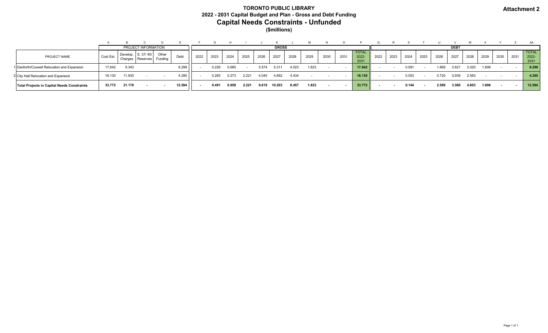#### **Attachment 2**

#### **TORONTO PUBLIC LIBRARY 2022 - 2031 Capital Budget and Plan - Gross and Debt Funding Capital Needs Constraints - Unfunded (\$millions)**

|                                             |                 |         |                                |                  |        |      |              |       |       |       |        |       |       |      |      |                               |             |      |       |      |       |       |       |       |      |      | AA                            |  |  |
|---------------------------------------------|-----------------|---------|--------------------------------|------------------|--------|------|--------------|-------|-------|-------|--------|-------|-------|------|------|-------------------------------|-------------|------|-------|------|-------|-------|-------|-------|------|------|-------------------------------|--|--|
|                                             |                 |         | PROJECT INFORMATION            |                  |        |      | <b>GROSS</b> |       |       |       |        |       |       |      |      |                               | <b>DEBT</b> |      |       |      |       |       |       |       |      |      |                               |  |  |
| PROJECT NAME                                | <b>Cost Est</b> | Charges | Develop. S. 37/45/<br>Reserves | Other<br>Funding | Debt   | 2022 | 2023         | 2024  | 2025  | 2026  | 2027   | 2028  | 2029  | 2030 | 2031 | <b>TOTAL</b><br>2022-<br>2031 | 2022        | 2023 | 2024  | 2025 | 2026  | 2027  | 2028  | 2029  | 2030 | 2031 | <b>TOTAL</b><br>2022-<br>2031 |  |  |
| 1 Danforth/Coxwell Relocation and Expansion | 17.642          | 9.343   |                                |                  | 8.299  |      | 0.226        | 0.685 |       | 5.574 | 5.311  | 4.023 | 1.823 |      |      | 17.642                        |             |      | 0.091 |      | 1.869 | 2.621 | 2.020 | 1.698 |      |      | 8.299                         |  |  |
| 2 City Hall Relocation and Expansion        | 16.130          | 11.835  |                                |                  | 4.295  |      | 0.265        | 0.273 | 2.221 | 4.045 | 4.892  | 4.434 |       |      |      | 16.130                        |             |      | 0.053 |      | 0.720 | 0.939 | 2.583 |       |      |      | 4.295                         |  |  |
| Total Projects in Capital Needs Constraints | 33.772          | 21.178  |                                |                  | 12.594 |      | 0.491        | 0.958 | 2.221 | 9.619 | 10.203 | 8.457 | 1.823 |      |      | 33.772                        |             |      | 0.144 |      | 2.589 | 3.560 | 4.603 | 1.698 |      |      | 12.594                        |  |  |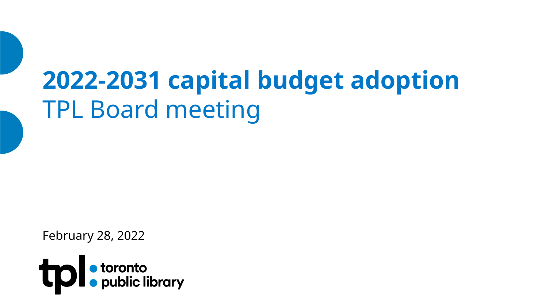# **2022-2031 capital budget adoption** TPL Board meeting

February 28, 2022

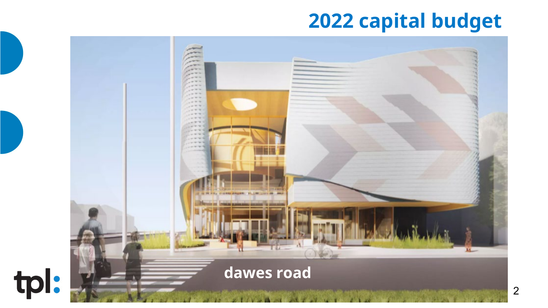# **2022 capital budget**

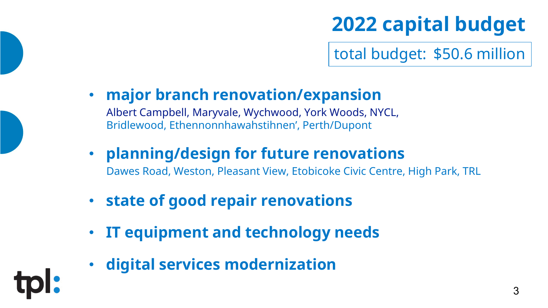# **2022 capital budget**

total budget: \$50.6 million

- **major branch renovation/expansion** Albert Campbell, Maryvale, Wychwood, York Woods, NYCL, Bridlewood, Ethennonnhawahstihnen', Perth/Dupont
- **planning/design for future renovations**  Dawes Road, Weston, Pleasant View, Etobicoke Civic Centre, High Park, TRL
- **state of good repair renovations**
- **IT equipment and technology needs**
- **digital services modernization**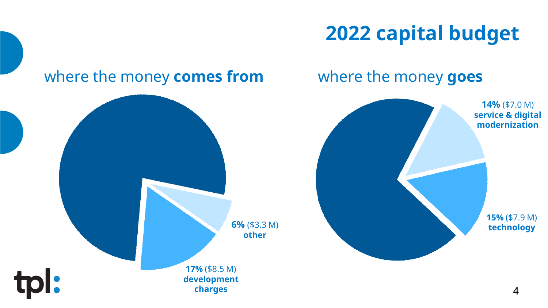# **2022 capital budget**

where the money **goes**

# where the money **comes from**